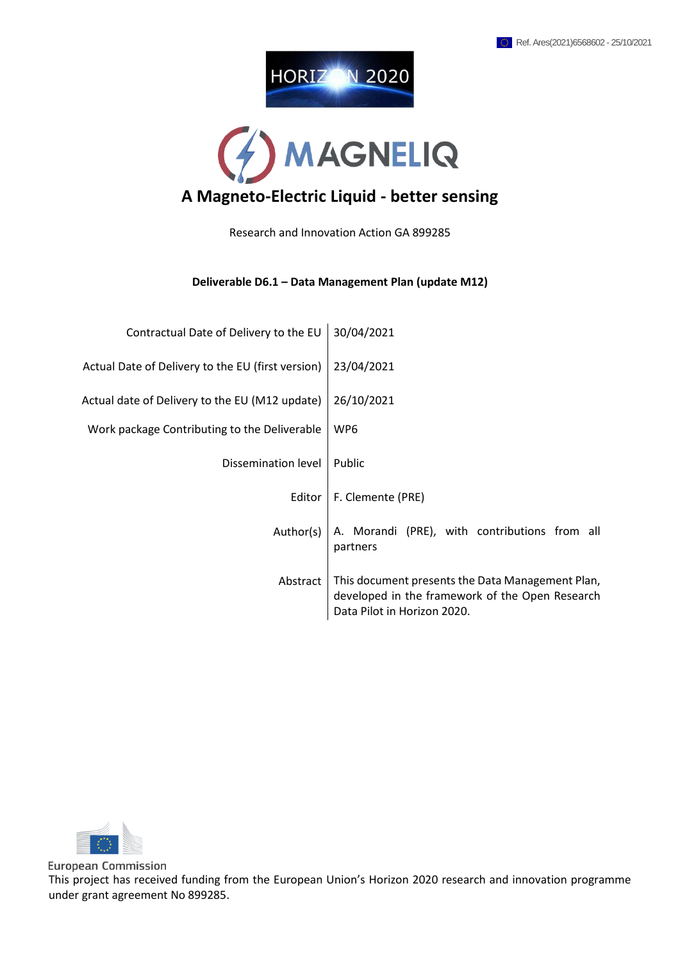



Research and Innovation Action GA 899285

#### **Deliverable D6.1 – Data Management Plan (update M12)**

| Contractual Date of Delivery to the EU            | 30/04/2021                                                                                                                         |
|---------------------------------------------------|------------------------------------------------------------------------------------------------------------------------------------|
| Actual Date of Delivery to the EU (first version) | 23/04/2021                                                                                                                         |
| Actual date of Delivery to the EU (M12 update)    | 26/10/2021                                                                                                                         |
| Work package Contributing to the Deliverable      | WP6                                                                                                                                |
| Dissemination level                               | Public                                                                                                                             |
| Editor                                            | F. Clemente (PRE)                                                                                                                  |
| Author(s)                                         | A. Morandi (PRE), with contributions from all<br>partners                                                                          |
| Abstract                                          | This document presents the Data Management Plan,<br>developed in the framework of the Open Research<br>Data Pilot in Horizon 2020. |



**European Commission** This project has received funding from the European Union's Horizon 2020 research and innovation programme under grant agreement No 899285.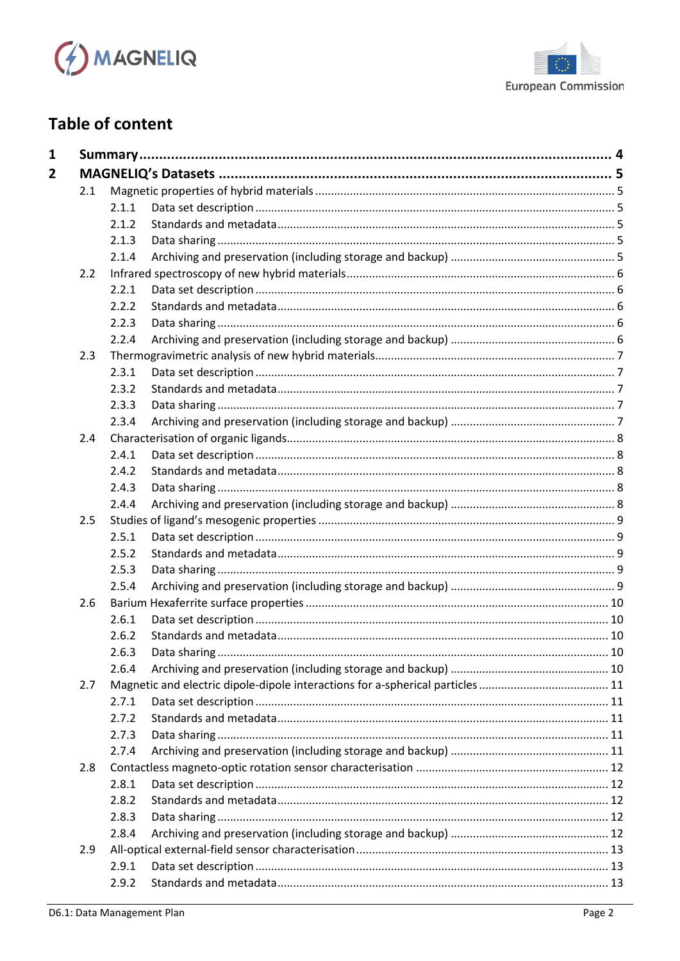



# **Table of content**

| 2.1 | 2.1.1 |  |
|-----|-------|--|
|     | 2.1.2 |  |
|     |       |  |
|     | 2.1.3 |  |
|     | 2.1.4 |  |
| 2.2 |       |  |
|     | 2.2.1 |  |
|     | 2.2.2 |  |
|     | 2.2.3 |  |
|     | 2.2.4 |  |
| 2.3 |       |  |
|     | 2.3.1 |  |
|     | 2.3.2 |  |
|     | 2.3.3 |  |
|     | 2.3.4 |  |
| 2.4 |       |  |
|     | 2.4.1 |  |
|     | 2.4.2 |  |
|     | 2.4.3 |  |
|     | 2.4.4 |  |
| 2.5 |       |  |
|     | 2.5.1 |  |
|     | 2.5.2 |  |
|     | 2.5.3 |  |
|     | 2.5.4 |  |
| 2.6 |       |  |
|     | 2.6.1 |  |
|     | 2.6.2 |  |
|     | 2.6.3 |  |
|     | 2.6.4 |  |
| 2.7 |       |  |
|     | 2.7.1 |  |
|     | 2.7.2 |  |
|     | 2.7.3 |  |
|     | 2.7.4 |  |
| 2.8 |       |  |
|     | 2.8.1 |  |
|     | 2.8.2 |  |
|     | 2.8.3 |  |
|     | 2.8.4 |  |
| 2.9 |       |  |
|     |       |  |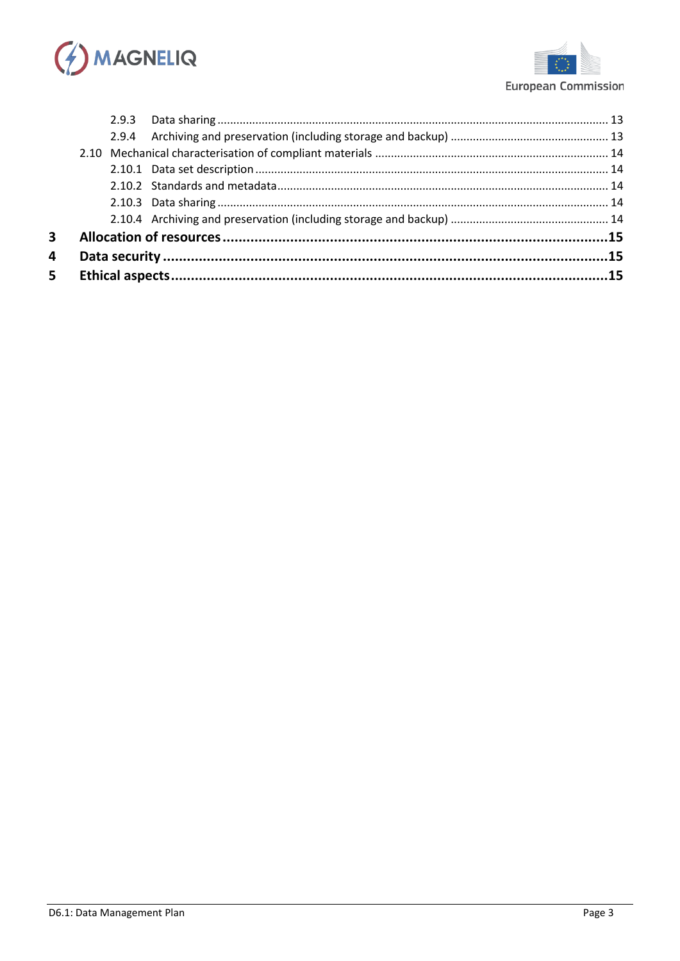



| 5 <sup>1</sup> |  |  |  |  |  |
|----------------|--|--|--|--|--|
| 4              |  |  |  |  |  |
| $\mathbf{3}$   |  |  |  |  |  |
|                |  |  |  |  |  |
|                |  |  |  |  |  |
|                |  |  |  |  |  |
|                |  |  |  |  |  |
|                |  |  |  |  |  |
|                |  |  |  |  |  |
|                |  |  |  |  |  |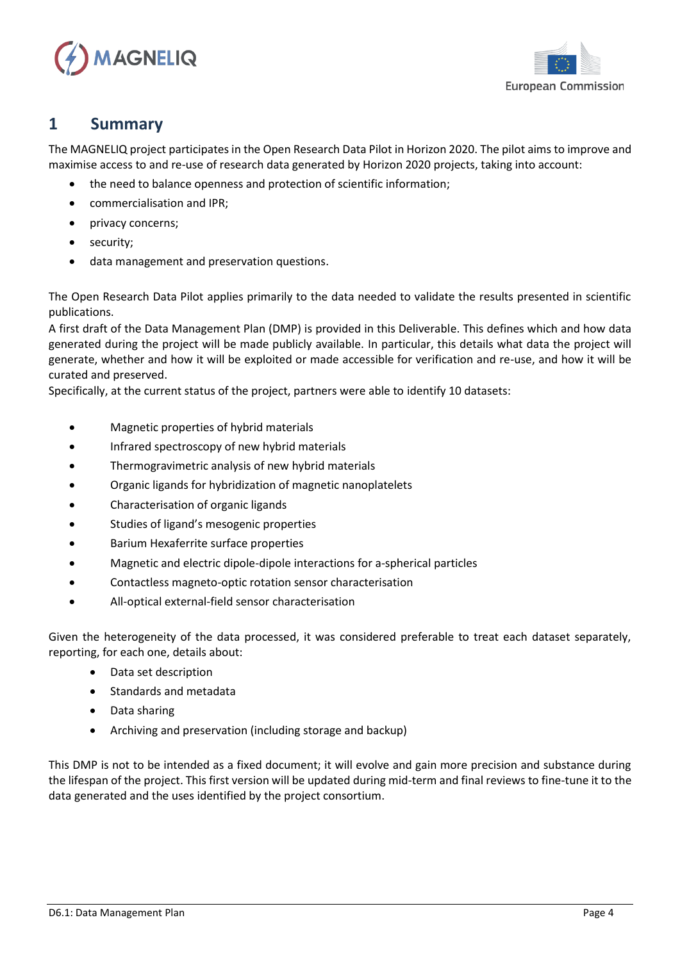



## <span id="page-3-0"></span>**1 Summary**

The MAGNELIQ project participates in the Open Research Data Pilot in Horizon 2020. The pilot aims to improve and maximise access to and re-use of research data generated by Horizon 2020 projects, taking into account:

- the need to balance openness and protection of scientific information;
- commercialisation and IPR;
- privacy concerns;
- security;
- data management and preservation questions.

The Open Research Data Pilot applies primarily to the data needed to validate the results presented in scientific publications.

A first draft of the Data Management Plan (DMP) is provided in this Deliverable. This defines which and how data generated during the project will be made publicly available. In particular, this details what data the project will generate, whether and how it will be exploited or made accessible for verification and re-use, and how it will be curated and preserved.

Specifically, at the current status of the project, partners were able to identify 10 datasets:

- Magnetic properties of hybrid materials
- Infrared spectroscopy of new hybrid materials
- Thermogravimetric analysis of new hybrid materials
- Organic ligands for hybridization of magnetic nanoplatelets
- Characterisation of organic ligands
- Studies of ligand's mesogenic properties
- Barium Hexaferrite surface properties
- Magnetic and electric dipole-dipole interactions for a-spherical particles
- Contactless magneto-optic rotation sensor characterisation
- All-optical external-field sensor characterisation

Given the heterogeneity of the data processed, it was considered preferable to treat each dataset separately, reporting, for each one, details about:

- Data set description
- Standards and metadata
- Data sharing
- Archiving and preservation (including storage and backup)

This DMP is not to be intended as a fixed document; it will evolve and gain more precision and substance during the lifespan of the project. This first version will be updated during mid-term and final reviews to fine-tune it to the data generated and the uses identified by the project consortium.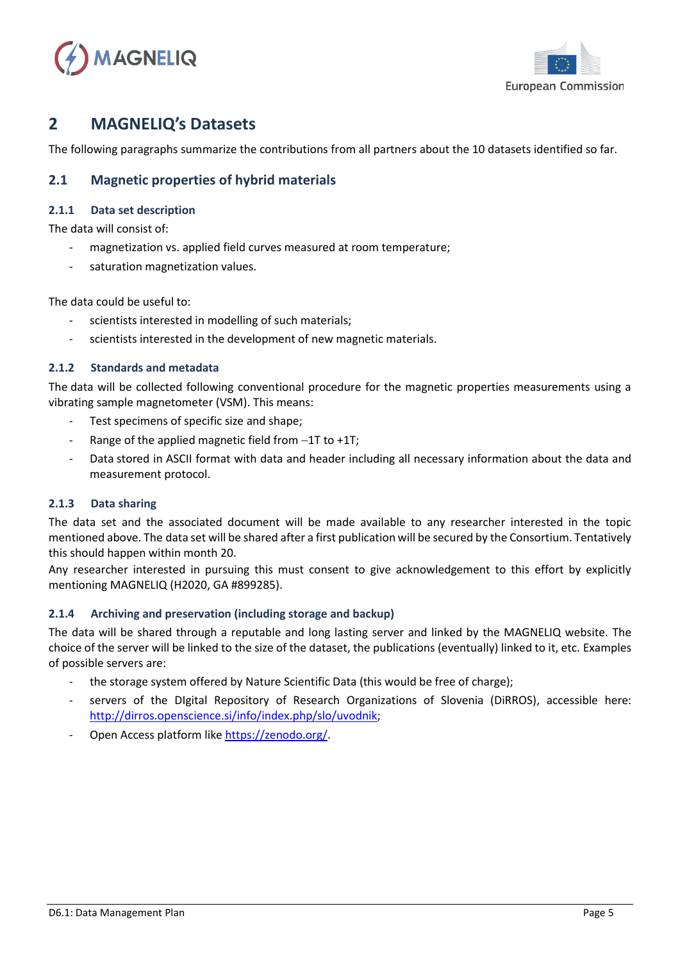



## <span id="page-4-0"></span>**2 MAGNELIQ's Datasets**

The following paragraphs summarize the contributions from all partners about the 10 datasets identified so far.

### <span id="page-4-1"></span>**2.1 Magnetic properties of hybrid materials**

#### <span id="page-4-2"></span>**2.1.1 Data set description**

The data will consist of:

- magnetization vs. applied field curves measured at room temperature;
- saturation magnetization values.

The data could be useful to:

- scientists interested in modelling of such materials:
- scientists interested in the development of new magnetic materials.

#### <span id="page-4-3"></span>**2.1.2 Standards and metadata**

The data will be collected following conventional procedure for the magnetic properties measurements using a vibrating sample magnetometer (VSM). This means:

- Test specimens of specific size and shape;
- Range of the applied magnetic field from −1T to +1T;
- Data stored in ASCII format with data and header including all necessary information about the data and measurement protocol.

#### <span id="page-4-4"></span>**2.1.3 Data sharing**

The data set and the associated document will be made available to any researcher interested in the topic mentioned above. The data set will be shared after a first publication will be secured by the Consortium. Tentatively this should happen within month 20.

Any researcher interested in pursuing this must consent to give acknowledgement to this effort by explicitly mentioning MAGNELIQ (H2020, GA #899285).

#### <span id="page-4-5"></span>**2.1.4 Archiving and preservation (including storage and backup)**

- the storage system offered by Nature Scientific Data (this would be free of charge);
- servers of the DIgital Repository of Research Organizations of Slovenia (DiRROS), accessible here: [http://dirros.openscience.si/info/index.php/slo/uvodnik;](http://dirros.openscience.si/info/index.php/slo/uvodnik)
- Open Access platform like [https://zenodo.org/.](https://zenodo.org/)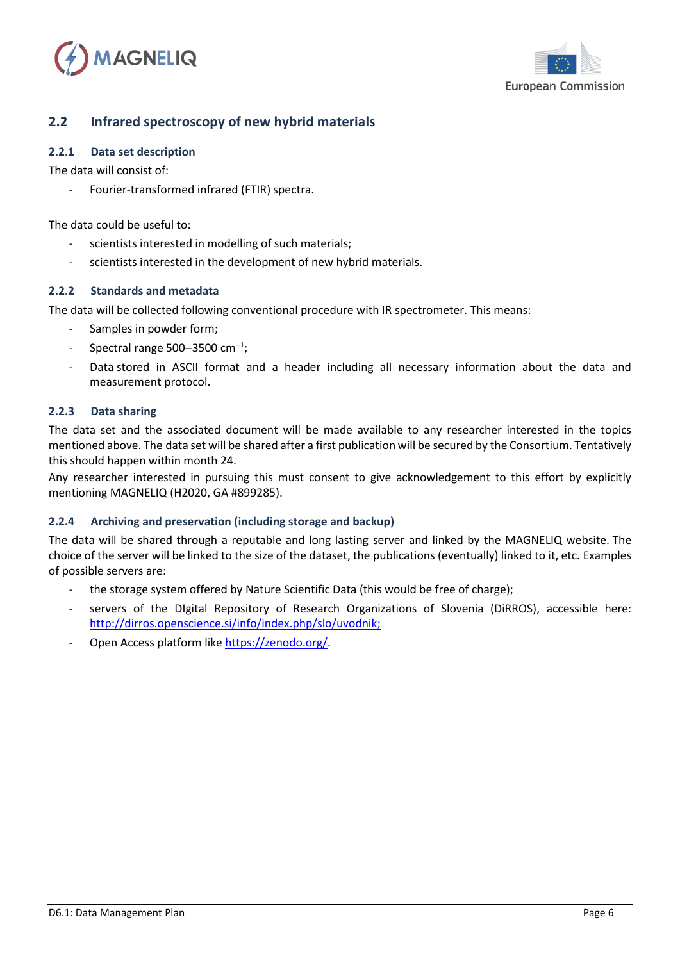



### <span id="page-5-0"></span>**2.2 Infrared spectroscopy of new hybrid materials**

#### <span id="page-5-1"></span>**2.2.1 Data set description**

The data will consist of:

- Fourier-transformed infrared (FTIR) spectra.

The data could be useful to:

- scientists interested in modelling of such materials;
- scientists interested in the development of new hybrid materials.

#### <span id="page-5-2"></span>**2.2.2 Standards and metadata**

The data will be collected following conventional procedure with IR spectrometer. This means:

- Samples in powder form;
- Spectral range 500−3500 cm<sup>−</sup><sup>1</sup> ;
- Data stored in ASCII format and a header including all necessary information about the data and measurement protocol.

#### <span id="page-5-3"></span>**2.2.3 Data sharing**

The data set and the associated document will be made available to any researcher interested in the topics mentioned above. The data set will be shared after a first publication will be secured by the Consortium. Tentatively this should happen within month 24.

Any researcher interested in pursuing this must consent to give acknowledgement to this effort by explicitly mentioning MAGNELIQ (H2020, GA #899285).

#### <span id="page-5-4"></span>**2.2.4 Archiving and preservation (including storage and backup)**

- the storage system offered by Nature Scientific Data (this would be free of charge);
- servers of the Digital Repository of Research Organizations of Slovenia (DiRROS), accessible here: [http://dirros.openscience.si/info/index.php/slo/uvodnik;](http://dirros.openscience.si/info/index.php/slo/uvodnik)
- Open Access platform like [https://zenodo.org/.](https://zenodo.org/)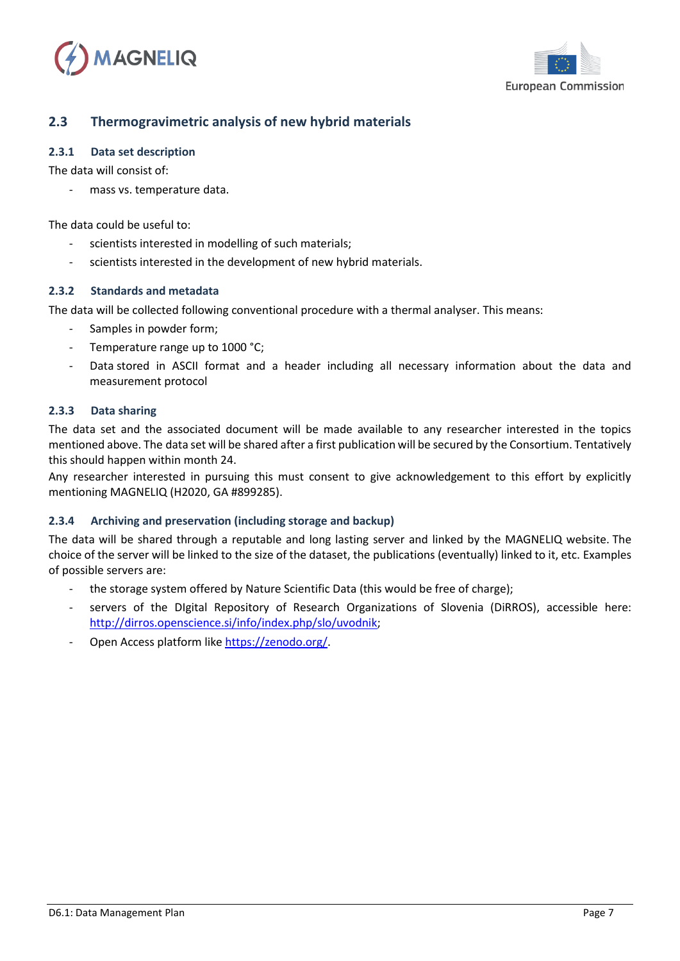



### <span id="page-6-0"></span>**2.3 Thermogravimetric analysis of new hybrid materials**

#### <span id="page-6-1"></span>**2.3.1 Data set description**

The data will consist of:

mass vs. temperature data.

The data could be useful to:

- scientists interested in modelling of such materials;
- scientists interested in the development of new hybrid materials.

#### <span id="page-6-2"></span>**2.3.2 Standards and metadata**

The data will be collected following conventional procedure with a thermal analyser. This means:

- Samples in powder form;
- Temperature range up to 1000 °C;
- Data stored in ASCII format and a header including all necessary information about the data and measurement protocol

#### <span id="page-6-3"></span>**2.3.3 Data sharing**

The data set and the associated document will be made available to any researcher interested in the topics mentioned above. The data set will be shared after a first publication will be secured by the Consortium. Tentatively this should happen within month 24.

Any researcher interested in pursuing this must consent to give acknowledgement to this effort by explicitly mentioning MAGNELIQ (H2020, GA #899285).

#### <span id="page-6-4"></span>**2.3.4 Archiving and preservation (including storage and backup)**

- the storage system offered by Nature Scientific Data (this would be free of charge);
- servers of the DIgital Repository of Research Organizations of Slovenia (DiRROS), accessible here: [http://dirros.openscience.si/info/index.php/slo/uvodnik;](http://dirros.openscience.si/info/index.php/slo/uvodnik)
- Open Access platform like [https://zenodo.org/.](https://zenodo.org/)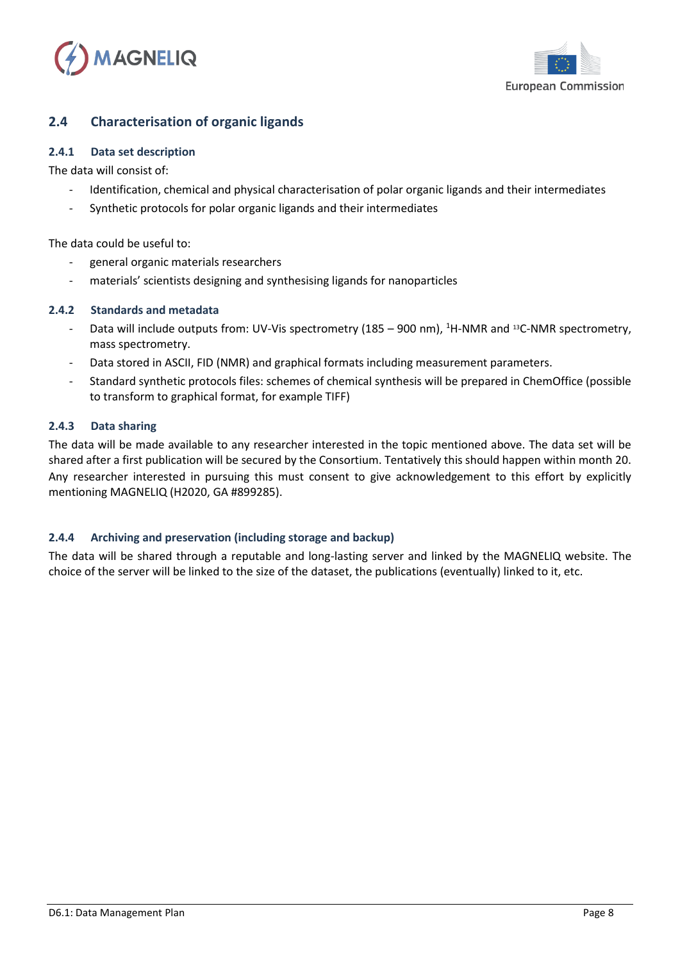



### <span id="page-7-0"></span>**2.4 Characterisation of organic ligands**

#### <span id="page-7-1"></span>**2.4.1 Data set description**

The data will consist of:

- Identification, chemical and physical characterisation of polar organic ligands and their intermediates
- Synthetic protocols for polar organic ligands and their intermediates

The data could be useful to:

- general organic materials researchers
- materials' scientists designing and synthesising ligands for nanoparticles

#### <span id="page-7-2"></span>**2.4.2 Standards and metadata**

- Data will include outputs from: UV-Vis spectrometry (185 900 nm),  ${}^{1}$ H-NMR and  ${}^{13}$ C-NMR spectrometry, mass spectrometry.
- Data stored in ASCII, FID (NMR) and graphical formats including measurement parameters.
- Standard synthetic protocols files: schemes of chemical synthesis will be prepared in ChemOffice (possible to transform to graphical format, for example TIFF)

#### <span id="page-7-3"></span>**2.4.3 Data sharing**

The data will be made available to any researcher interested in the topic mentioned above. The data set will be shared after a first publication will be secured by the Consortium. Tentatively this should happen within month 20. Any researcher interested in pursuing this must consent to give acknowledgement to this effort by explicitly mentioning MAGNELIQ (H2020, GA #899285).

#### <span id="page-7-4"></span>**2.4.4 Archiving and preservation (including storage and backup)**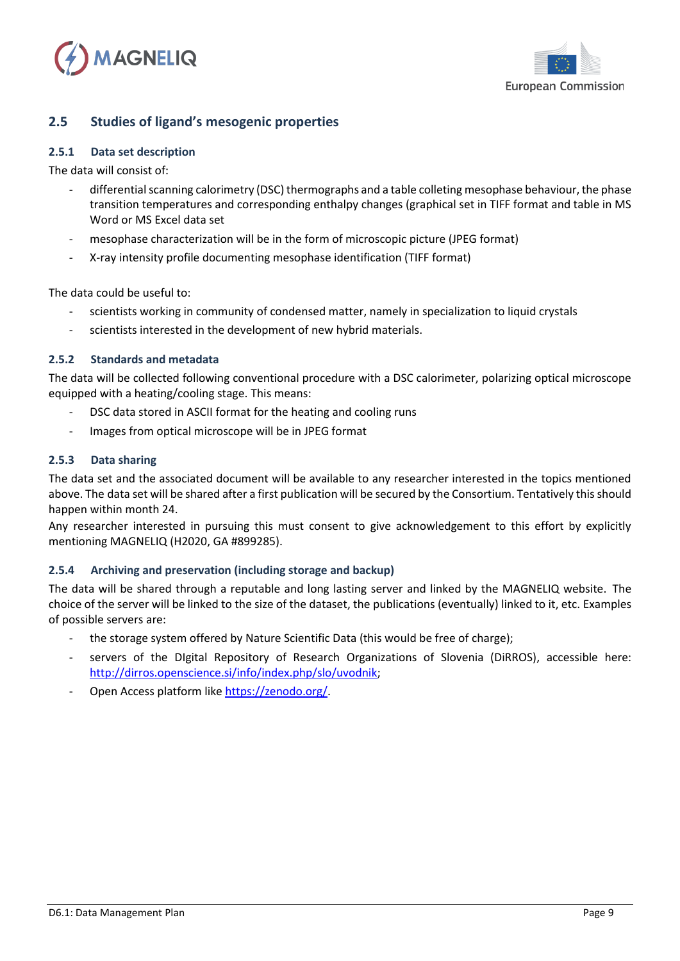



### <span id="page-8-0"></span>**2.5 Studies of ligand's mesogenic properties**

#### <span id="page-8-1"></span>**2.5.1 Data set description**

The data will consist of:

- differential scanning calorimetry (DSC) thermographs and a table colleting mesophase behaviour, the phase transition temperatures and corresponding enthalpy changes (graphical set in TIFF format and table in MS Word or MS Excel data set
- mesophase characterization will be in the form of microscopic picture (JPEG format)
- X-ray intensity profile documenting mesophase identification (TIFF format)

The data could be useful to:

- scientists working in community of condensed matter, namely in specialization to liquid crystals
- scientists interested in the development of new hybrid materials.

#### <span id="page-8-2"></span>**2.5.2 Standards and metadata**

The data will be collected following conventional procedure with a DSC calorimeter, polarizing optical microscope equipped with a heating/cooling stage. This means:

- DSC data stored in ASCII format for the heating and cooling runs
- Images from optical microscope will be in JPEG format

#### <span id="page-8-3"></span>**2.5.3 Data sharing**

The data set and the associated document will be available to any researcher interested in the topics mentioned above. The data set will be shared after a first publication will be secured by the Consortium. Tentatively this should happen within month 24.

Any researcher interested in pursuing this must consent to give acknowledgement to this effort by explicitly mentioning MAGNELIQ (H2020, GA #899285).

#### <span id="page-8-4"></span>**2.5.4 Archiving and preservation (including storage and backup)**

- the storage system offered by Nature Scientific Data (this would be free of charge);
- servers of the DIgital Repository of Research Organizations of Slovenia (DiRROS), accessible here: [http://dirros.openscience.si/info/index.php/slo/uvodnik;](http://dirros.openscience.si/info/index.php/slo/uvodnik)
- Open Access platform like [https://zenodo.org/.](https://zenodo.org/)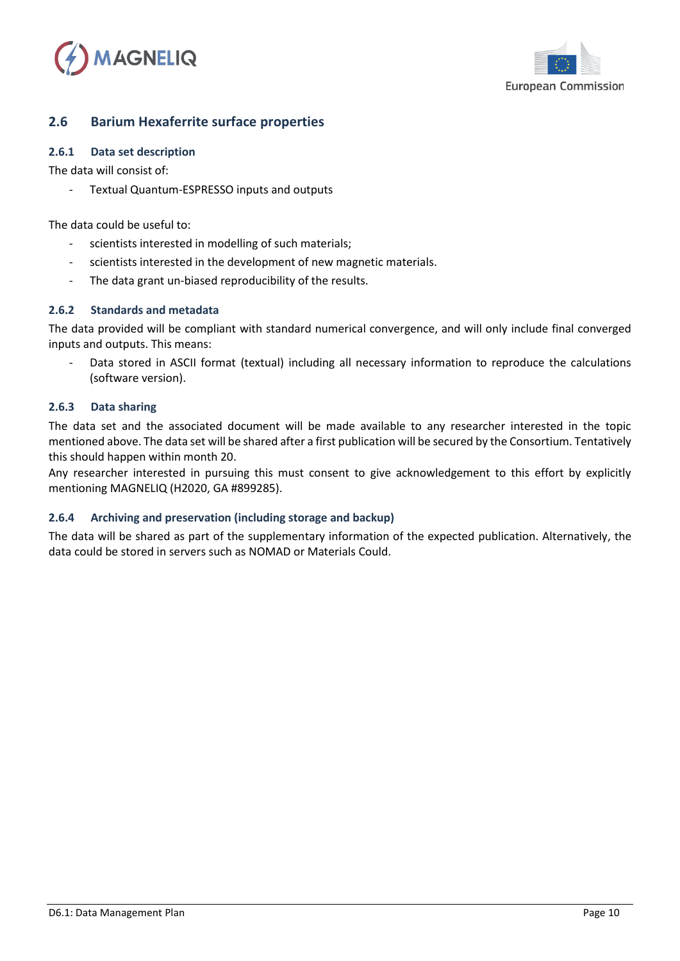



### <span id="page-9-0"></span>**2.6 Barium Hexaferrite surface properties**

#### <span id="page-9-1"></span>**2.6.1 Data set description**

The data will consist of:

Textual Quantum-ESPRESSO inputs and outputs

The data could be useful to:

- scientists interested in modelling of such materials;
- scientists interested in the development of new magnetic materials.
- The data grant un-biased reproducibility of the results.

#### <span id="page-9-2"></span>**2.6.2 Standards and metadata**

The data provided will be compliant with standard numerical convergence, and will only include final converged inputs and outputs. This means:

Data stored in ASCII format (textual) including all necessary information to reproduce the calculations (software version).

#### <span id="page-9-3"></span>**2.6.3 Data sharing**

The data set and the associated document will be made available to any researcher interested in the topic mentioned above. The data set will be shared after a first publication will be secured by the Consortium. Tentatively this should happen within month 20.

Any researcher interested in pursuing this must consent to give acknowledgement to this effort by explicitly mentioning MAGNELIQ (H2020, GA #899285).

#### <span id="page-9-4"></span>**2.6.4 Archiving and preservation (including storage and backup)**

The data will be shared as part of the supplementary information of the expected publication. Alternatively, the data could be stored in servers such as NOMAD or Materials Could.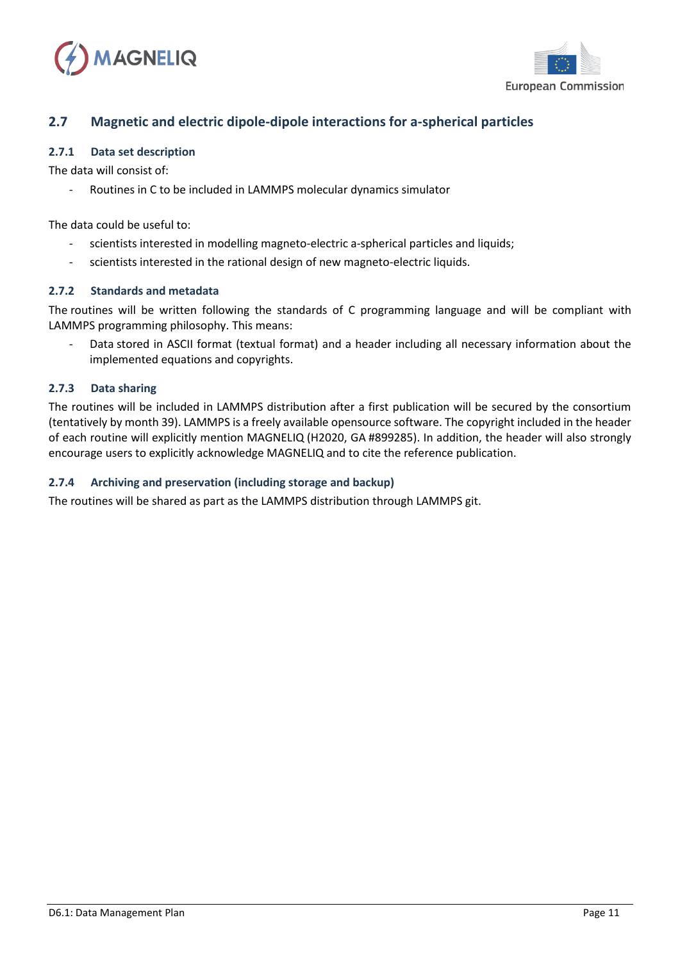



### <span id="page-10-0"></span>**2.7 Magnetic and electric dipole-dipole interactions for a-spherical particles**

#### <span id="page-10-1"></span>**2.7.1 Data set description**

The data will consist of:

Routines in C to be included in LAMMPS molecular dynamics simulator

The data could be useful to:

- scientists interested in modelling magneto-electric a-spherical particles and liquids;
- scientists interested in the rational design of new magneto-electric liquids.

#### <span id="page-10-2"></span>**2.7.2 Standards and metadata**

The routines will be written following the standards of C programming language and will be compliant with LAMMPS programming philosophy. This means:

Data stored in ASCII format (textual format) and a header including all necessary information about the implemented equations and copyrights.

#### <span id="page-10-3"></span>**2.7.3 Data sharing**

The routines will be included in LAMMPS distribution after a first publication will be secured by the consortium (tentatively by month 39). LAMMPS is a freely available opensource software. The copyright included in the header of each routine will explicitly mention MAGNELIQ (H2020, GA #899285). In addition, the header will also strongly encourage users to explicitly acknowledge MAGNELIQ and to cite the reference publication.

#### <span id="page-10-4"></span>**2.7.4 Archiving and preservation (including storage and backup)**

The routines will be shared as part as the LAMMPS distribution through LAMMPS git.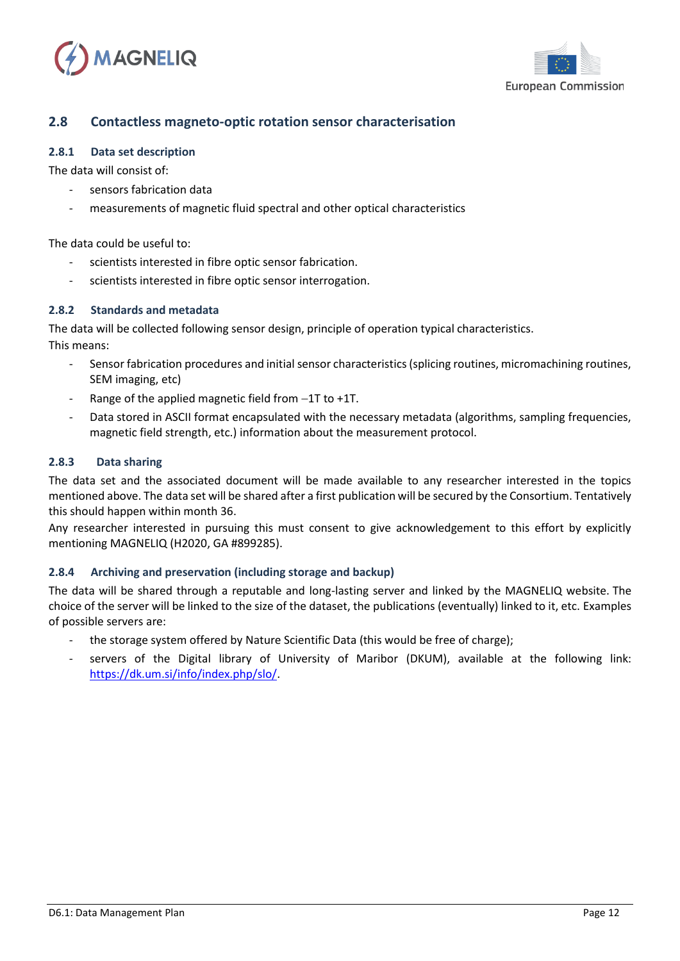



### <span id="page-11-0"></span>**2.8 Contactless magneto-optic rotation sensor characterisation**

#### <span id="page-11-1"></span>**2.8.1 Data set description**

The data will consist of:

- sensors fabrication data
- measurements of magnetic fluid spectral and other optical characteristics

The data could be useful to:

- scientists interested in fibre optic sensor fabrication.
- scientists interested in fibre optic sensor interrogation.

#### <span id="page-11-2"></span>**2.8.2 Standards and metadata**

The data will be collected following sensor design, principle of operation typical characteristics. This means:

- Sensor fabrication procedures and initial sensor characteristics (splicing routines, micromachining routines, SEM imaging, etc)
- Range of the applied magnetic field from −1T to +1T.
- <span id="page-11-3"></span>- Data stored in ASCII format encapsulated with the necessary metadata (algorithms, sampling frequencies, magnetic field strength, etc.) information about the measurement protocol.

#### **2.8.3 Data sharing**

The data set and the associated document will be made available to any researcher interested in the topics mentioned above. The data set will be shared after a first publication will be secured by the Consortium. Tentatively this should happen within month 36.

Any researcher interested in pursuing this must consent to give acknowledgement to this effort by explicitly mentioning MAGNELIQ (H2020, GA #899285).

#### <span id="page-11-4"></span>**2.8.4 Archiving and preservation (including storage and backup)**

- the storage system offered by Nature Scientific Data (this would be free of charge);
- servers of the Digital library of University of Maribor (DKUM), available at the following link: [https://dk.um.si/info/index.php/slo/.](https://dk.um.si/info/index.php/slo/)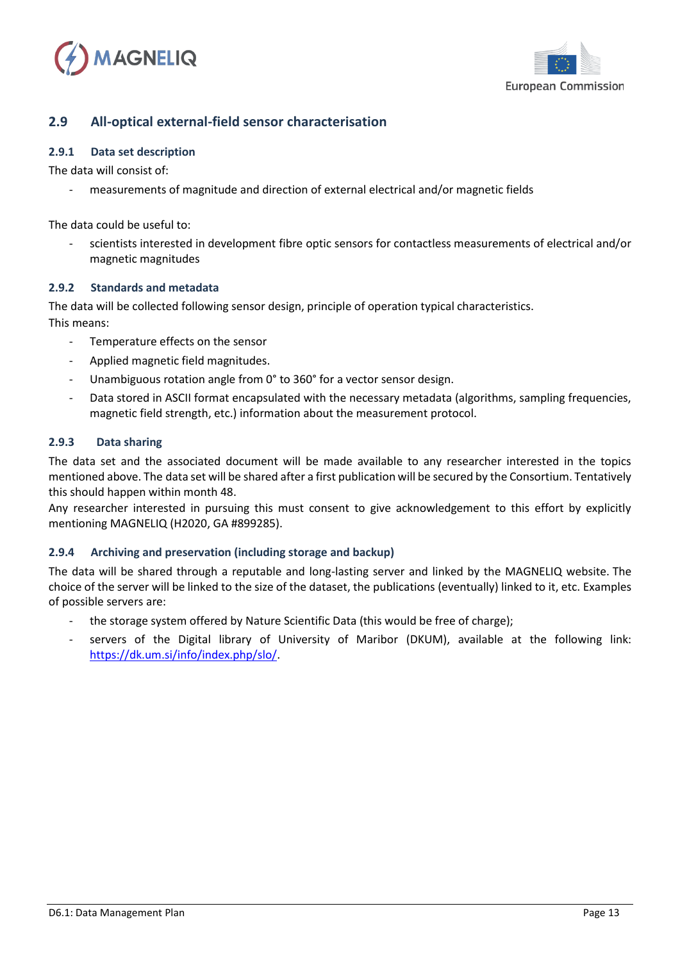



### <span id="page-12-0"></span>**2.9 All-optical external-field sensor characterisation**

#### <span id="page-12-1"></span>**2.9.1 Data set description**

The data will consist of:

measurements of magnitude and direction of external electrical and/or magnetic fields

The data could be useful to:

scientists interested in development fibre optic sensors for contactless measurements of electrical and/or magnetic magnitudes

#### <span id="page-12-2"></span>**2.9.2 Standards and metadata**

The data will be collected following sensor design, principle of operation typical characteristics. This means:

- Temperature effects on the sensor
- Applied magnetic field magnitudes.
- Unambiguous rotation angle from 0° to 360° for a vector sensor design.
- <span id="page-12-3"></span>Data stored in ASCII format encapsulated with the necessary metadata (algorithms, sampling frequencies, magnetic field strength, etc.) information about the measurement protocol.

#### **2.9.3 Data sharing**

The data set and the associated document will be made available to any researcher interested in the topics mentioned above. The data set will be shared after a first publication will be secured by the Consortium. Tentatively this should happen within month 48.

Any researcher interested in pursuing this must consent to give acknowledgement to this effort by explicitly mentioning MAGNELIQ (H2020, GA #899285).

#### <span id="page-12-4"></span>**2.9.4 Archiving and preservation (including storage and backup)**

- the storage system offered by Nature Scientific Data (this would be free of charge);
- servers of the Digital library of University of Maribor (DKUM), available at the following link: [https://dk.um.si/info/index.php/slo/.](https://dk.um.si/info/index.php/slo/)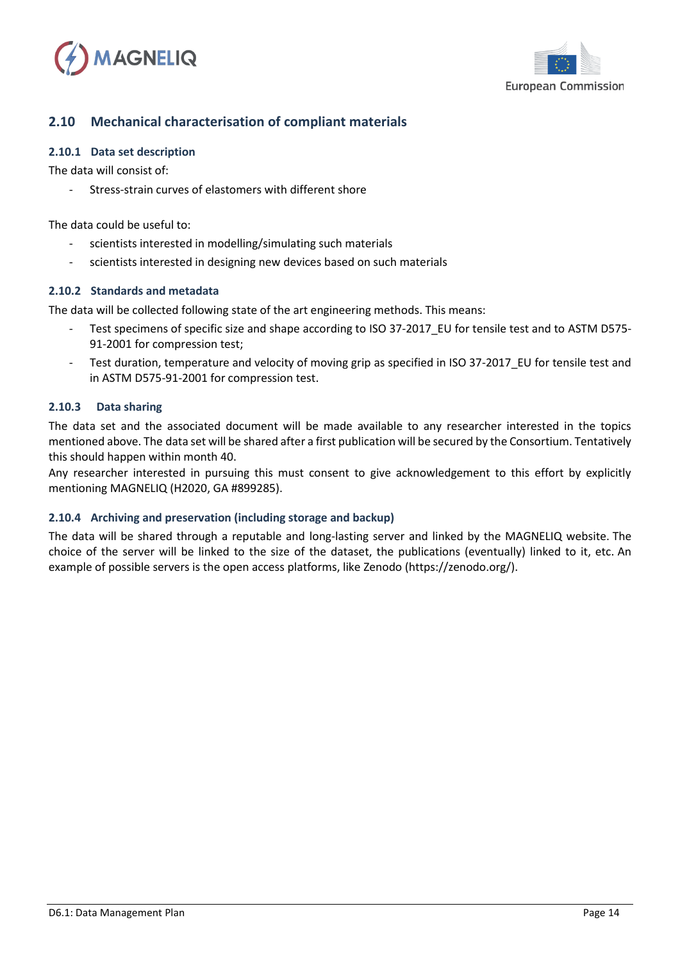



### <span id="page-13-0"></span>**2.10 Mechanical characterisation of compliant materials**

#### <span id="page-13-1"></span>**2.10.1 Data set description**

The data will consist of:

Stress-strain curves of elastomers with different shore

The data could be useful to:

- scientists interested in modelling/simulating such materials
- scientists interested in designing new devices based on such materials

#### <span id="page-13-2"></span>**2.10.2 Standards and metadata**

The data will be collected following state of the art engineering methods. This means:

- Test specimens of specific size and shape according to ISO 37-2017 EU for tensile test and to ASTM D575-91-2001 for compression test;
- <span id="page-13-3"></span>Test duration, temperature and velocity of moving grip as specified in ISO 37-2017\_EU for tensile test and in ASTM D575-91-2001 for compression test.

#### **2.10.3 Data sharing**

The data set and the associated document will be made available to any researcher interested in the topics mentioned above. The data set will be shared after a first publication will be secured by the Consortium. Tentatively this should happen within month 40.

Any researcher interested in pursuing this must consent to give acknowledgement to this effort by explicitly mentioning MAGNELIQ (H2020, GA #899285).

#### <span id="page-13-4"></span>**2.10.4 Archiving and preservation (including storage and backup)**

The data will be shared through a reputable and long-lasting server and linked by the MAGNELIQ website. The choice of the server will be linked to the size of the dataset, the publications (eventually) linked to it, etc. An example of possible servers is the open access platforms, like Zenodo (https://zenodo.org/).